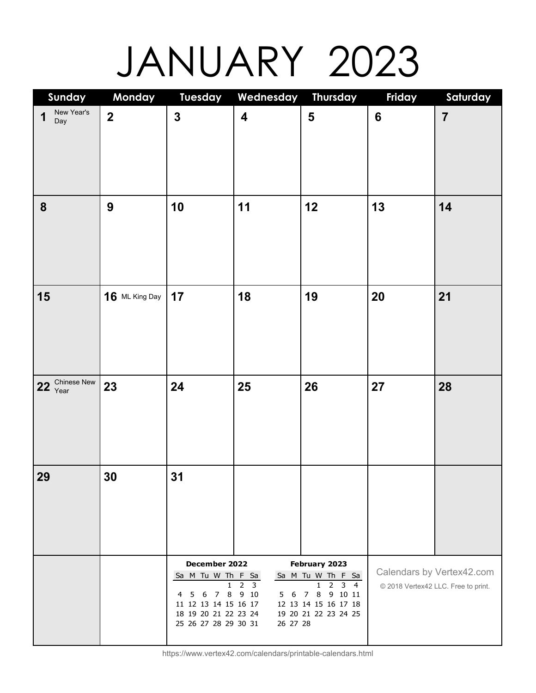## JANUARY 2023

| Sunday                 | Monday                  | <b>Tuesday</b>                                                                                                                         | Wednesday Thursday                   |                                                                                                                            | Friday         | Saturday                                                         |
|------------------------|-------------------------|----------------------------------------------------------------------------------------------------------------------------------------|--------------------------------------|----------------------------------------------------------------------------------------------------------------------------|----------------|------------------------------------------------------------------|
| New Year's<br>1<br>Day | $\overline{\mathbf{2}}$ | $\mathbf{3}$                                                                                                                           | $\overline{\mathbf{4}}$              | 5                                                                                                                          | $6\phantom{a}$ | $\overline{7}$                                                   |
| 8                      | $\boldsymbol{9}$        | 10                                                                                                                                     | 11                                   | 12                                                                                                                         | 13             | 14                                                               |
| 15                     | 16 ML King Day          | 17                                                                                                                                     | 18                                   | 19                                                                                                                         | 20             | 21                                                               |
| 22 Chinese New         | 23                      | 24                                                                                                                                     | 25                                   | 26                                                                                                                         | 27             | 28                                                               |
| 29                     | 30                      | 31                                                                                                                                     |                                      |                                                                                                                            |                |                                                                  |
|                        |                         | December 2022<br>Sa M Tu W Th F Sa<br>1.<br>7 8<br>6<br>5<br>4<br>11 12 13 14 15 16 17<br>18 19 20 21 22 23 24<br>25 26 27 28 29 30 31 | 2<br>3<br>9 10<br>6<br>5<br>26 27 28 | February 2023<br>Sa M Tu W Th F Sa<br>$3 \quad 4$<br>2<br>1<br>7 8 9 10 11<br>12 13 14 15 16 17 18<br>19 20 21 22 23 24 25 |                | Calendars by Vertex42.com<br>© 2018 Vertex42 LLC. Free to print. |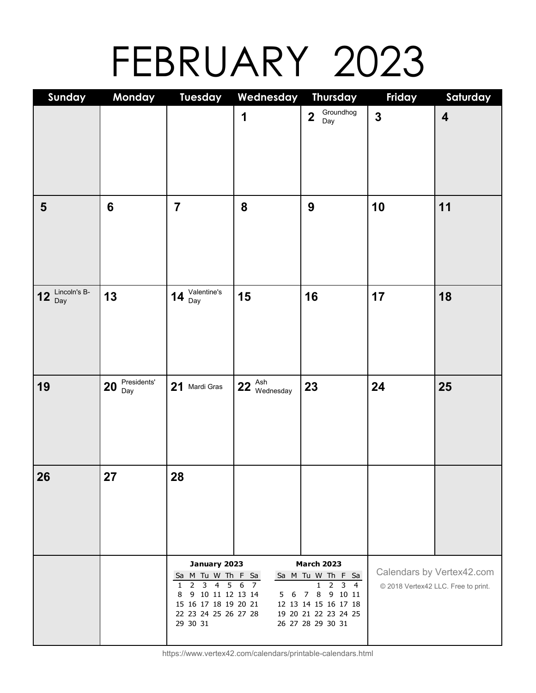## FEBRUARY 2023

| Sunday                    | Monday            | <b>Tuesday</b>                                  | Wednesday                                   | <b>Thursday</b>                             | Friday                  | Saturday                            |
|---------------------------|-------------------|-------------------------------------------------|---------------------------------------------|---------------------------------------------|-------------------------|-------------------------------------|
|                           |                   |                                                 | 1                                           | Groundhog<br>$\overline{\mathbf{2}}$<br>Day | $\overline{\mathbf{3}}$ | $\overline{\mathbf{4}}$             |
|                           |                   |                                                 |                                             |                                             |                         |                                     |
|                           |                   |                                                 |                                             |                                             |                         |                                     |
|                           |                   |                                                 |                                             |                                             |                         |                                     |
|                           |                   |                                                 |                                             |                                             |                         |                                     |
|                           |                   |                                                 |                                             |                                             |                         |                                     |
| $\overline{\mathbf{5}}$   | 6                 | $\overline{7}$                                  | 8                                           | 9                                           | 10                      | 11                                  |
|                           |                   |                                                 |                                             |                                             |                         |                                     |
|                           |                   |                                                 |                                             |                                             |                         |                                     |
|                           |                   |                                                 |                                             |                                             |                         |                                     |
|                           |                   |                                                 |                                             |                                             |                         |                                     |
| Lincoln's B-<br>12<br>Day | 13                | 14 $\frac{\text{Valentine's}}{\text{Day}}$      | 15                                          | 16                                          | 17                      | 18                                  |
|                           |                   |                                                 |                                             |                                             |                         |                                     |
|                           |                   |                                                 |                                             |                                             |                         |                                     |
|                           |                   |                                                 |                                             |                                             |                         |                                     |
|                           |                   |                                                 |                                             |                                             |                         |                                     |
| 19                        | Presidents'<br>20 | 21<br>Mardi Gras                                | $22 \, \frac{\text{Ash}}{\text{Wednesday}}$ | 23                                          | 24                      | 25                                  |
|                           | Day               |                                                 |                                             |                                             |                         |                                     |
|                           |                   |                                                 |                                             |                                             |                         |                                     |
|                           |                   |                                                 |                                             |                                             |                         |                                     |
|                           |                   |                                                 |                                             |                                             |                         |                                     |
|                           |                   |                                                 |                                             |                                             |                         |                                     |
| 26                        | 27                | 28                                              |                                             |                                             |                         |                                     |
|                           |                   |                                                 |                                             |                                             |                         |                                     |
|                           |                   |                                                 |                                             |                                             |                         |                                     |
|                           |                   |                                                 |                                             |                                             |                         |                                     |
|                           |                   |                                                 |                                             |                                             |                         |                                     |
|                           |                   | January 2023<br>Sa M Tu W Th F Sa               |                                             | <b>March 2023</b><br>Sa M Tu W Th F Sa      |                         | Calendars by Vertex42.com           |
|                           |                   | 2<br>3<br>$\overline{4}$<br>5 6<br>$\mathbf{1}$ | 7                                           | 2<br>$3 \quad 4$<br>1                       |                         | © 2018 Vertex42 LLC. Free to print. |
|                           |                   | 9 10 11 12 13 14<br>8<br>15 16 17 18 19 20 21   | 6<br>5.                                     | 8 9 10 11<br>7<br>12 13 14 15 16 17 18      |                         |                                     |
|                           |                   | 22 23 24 25 26 27 28<br>29 30 31                |                                             | 19 20 21 22 23 24 25<br>26 27 28 29 30 31   |                         |                                     |
|                           |                   |                                                 |                                             |                                             |                         |                                     |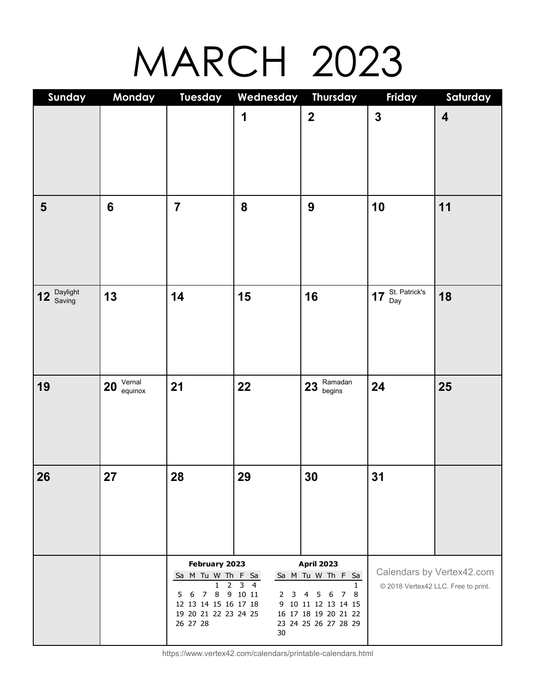### MARCH 2023

| Sunday                   | Monday                  | <b>Tuesday</b>                               | Wednesday Thursday                                  |                                                                                                                       | Friday        | Saturday                            |
|--------------------------|-------------------------|----------------------------------------------|-----------------------------------------------------|-----------------------------------------------------------------------------------------------------------------------|---------------|-------------------------------------|
|                          |                         |                                              | 1                                                   | $\mathbf{2}$                                                                                                          | $\mathbf{3}$  | $\overline{\mathbf{4}}$             |
|                          |                         |                                              |                                                     |                                                                                                                       |               |                                     |
|                          |                         |                                              |                                                     |                                                                                                                       |               |                                     |
| $\overline{\mathbf{5}}$  | $6\phantom{1}$          | $\overline{7}$                               | 8                                                   | $\boldsymbol{9}$                                                                                                      | 10            | 11                                  |
|                          |                         |                                              |                                                     |                                                                                                                       |               |                                     |
|                          |                         |                                              |                                                     |                                                                                                                       |               |                                     |
|                          |                         |                                              |                                                     |                                                                                                                       | St. Patrick's |                                     |
| Daylight<br>Saving<br>12 | 13                      | 14                                           | 15                                                  | 16                                                                                                                    | 17<br>Day     | 18                                  |
|                          |                         |                                              |                                                     |                                                                                                                       |               |                                     |
|                          |                         |                                              |                                                     |                                                                                                                       |               |                                     |
| 19                       | Vernal<br>equinox<br>20 | 21                                           | 22                                                  | $23 \overline{\smash{\big)}\ 23 \over \smash{\big)}\ \smash{\overbrace{\hspace{2.5cm}\text{Gamma}}}^{\text{Ramadan}}$ | 24            | 25                                  |
|                          |                         |                                              |                                                     |                                                                                                                       |               |                                     |
|                          |                         |                                              |                                                     |                                                                                                                       |               |                                     |
| 26<br>I                  | 27                      | 28                                           | 29                                                  | 30                                                                                                                    | 31            |                                     |
|                          |                         |                                              |                                                     |                                                                                                                       |               |                                     |
|                          |                         |                                              |                                                     |                                                                                                                       |               |                                     |
|                          |                         |                                              |                                                     |                                                                                                                       |               |                                     |
|                          |                         | February 2023<br>Sa M Tu W Th F Sa           |                                                     | <b>April 2023</b><br>Sa M Tu W Th F Sa                                                                                |               | Calendars by Vertex42.com           |
|                          |                         | 1<br>2<br>8<br>6<br>7<br>5                   | 3<br>$\overline{4}$<br>9 10 11<br>$\mathbf{2}$<br>3 | $\mathbf{1}$<br>6<br>78<br>5 <sub>1</sub><br>4                                                                        |               | © 2018 Vertex42 LLC. Free to print. |
|                          |                         | 12 13 14 15 16 17 18<br>19 20 21 22 23 24 25 | 9                                                   | 10 11 12 13 14 15<br>16 17 18 19 20 21 22                                                                             |               |                                     |
|                          |                         | 26 27 28                                     | 30                                                  | 23 24 25 26 27 28 29                                                                                                  |               |                                     |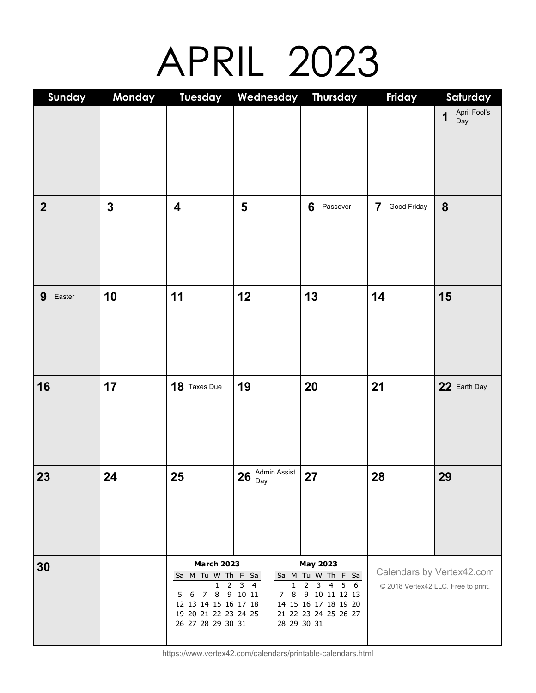### APRIL 2023

| Sunday           | Monday       | <b>Tuesday</b>                                                                                                                       | Wednesday                                                                                         | Thursday                                                                                                                            | Friday                              | Saturday                  |
|------------------|--------------|--------------------------------------------------------------------------------------------------------------------------------------|---------------------------------------------------------------------------------------------------|-------------------------------------------------------------------------------------------------------------------------------------|-------------------------------------|---------------------------|
|                  |              |                                                                                                                                      |                                                                                                   |                                                                                                                                     |                                     | April Fool's<br>1<br>Day  |
| $\boldsymbol{2}$ | $\mathbf{3}$ | $\overline{\mathbf{4}}$                                                                                                              | 5                                                                                                 | 6<br>Passover                                                                                                                       | Good Friday<br>7                    | 8                         |
| 9<br>Easter      | 10           | 11                                                                                                                                   | 12                                                                                                | 13                                                                                                                                  | 14                                  | 15                        |
| 16               | 17           | 18 Taxes Due                                                                                                                         | 19                                                                                                | 20                                                                                                                                  | 21                                  | 22 Earth Day              |
| 23               | 24           | 25                                                                                                                                   | $26\;\mathrm{\frac{Admin\;Assist}{Day}}$                                                          | 27                                                                                                                                  | 28                                  | 29                        |
| 30               |              | <b>March 2023</b><br>Sa M Tu W Th F Sa<br>2<br>1<br>6<br>7<br>5<br>12 13 14 15 16 17 18<br>19 20 21 22 23 24 25<br>26 27 28 29 30 31 | $\overline{\mathbf{3}}$<br>$\overline{4}$<br>1<br>8 9 10 11<br>8<br>$\overline{7}$<br>28 29 30 31 | <b>May 2023</b><br>Sa M Tu W Th F Sa<br>2<br>$\mathbf{3}$<br>4 5 6<br>9 10 11 12 13<br>14 15 16 17 18 19 20<br>21 22 23 24 25 26 27 | © 2018 Vertex42 LLC. Free to print. | Calendars by Vertex42.com |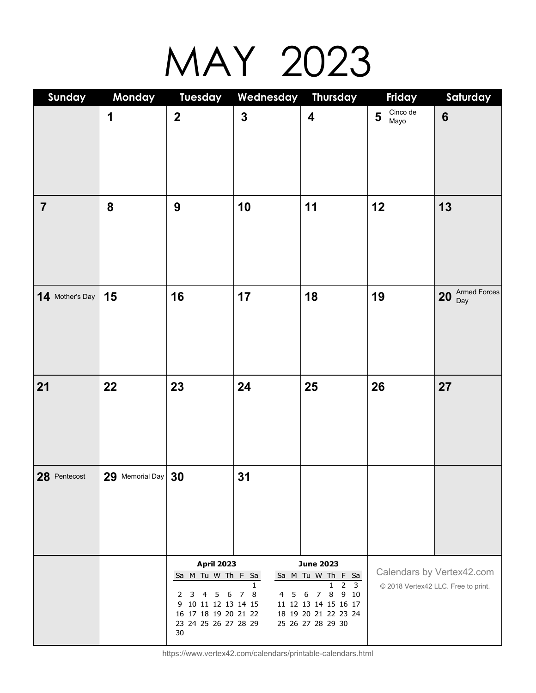## MAY 2023

| Sunday          | Monday               | <b>Tuesday</b>                                                                                                                                                | Wednesday Thursday                  |                                                                                                                                                                | Friday                | Saturday                                                         |
|-----------------|----------------------|---------------------------------------------------------------------------------------------------------------------------------------------------------------|-------------------------------------|----------------------------------------------------------------------------------------------------------------------------------------------------------------|-----------------------|------------------------------------------------------------------|
|                 | 1                    | $\mathbf{2}$                                                                                                                                                  | $\mathbf{3}$                        | $\overline{\mathbf{4}}$                                                                                                                                        | Cinco de<br>5<br>Mayo | $6\phantom{1}6$                                                  |
| $\overline{7}$  | 8                    | 9                                                                                                                                                             | 10                                  | 11                                                                                                                                                             | 12                    | 13                                                               |
| 14 Mother's Day | 15                   | 16                                                                                                                                                            | 17                                  | 18                                                                                                                                                             | 19                    | Armed Forces<br>20<br>Day                                        |
| 21              | 22                   | 23                                                                                                                                                            | 24                                  | 25                                                                                                                                                             | 26                    | 27                                                               |
| 28 Pentecost    | $29$ Memorial Day 30 |                                                                                                                                                               | 31                                  |                                                                                                                                                                |                       |                                                                  |
|                 |                      | <b>April 2023</b><br>Sa M Tu W Th F Sa<br>$6\overline{6}$<br>4<br>5<br>2<br>3<br>10 11 12 13 14 15<br>9<br>16 17 18 19 20 21 22<br>23 24 25 26 27 28 29<br>30 | 1.<br>8<br>$\overline{7}$<br>4<br>5 | <b>June 2023</b><br>Sa M Tu W Th F Sa<br>3<br>2<br>1.<br>8<br>9 10<br>$\overline{7}$<br>6<br>11 12 13 14 15 16 17<br>18 19 20 21 22 23 24<br>25 26 27 28 29 30 |                       | Calendars by Vertex42.com<br>© 2018 Vertex42 LLC. Free to print. |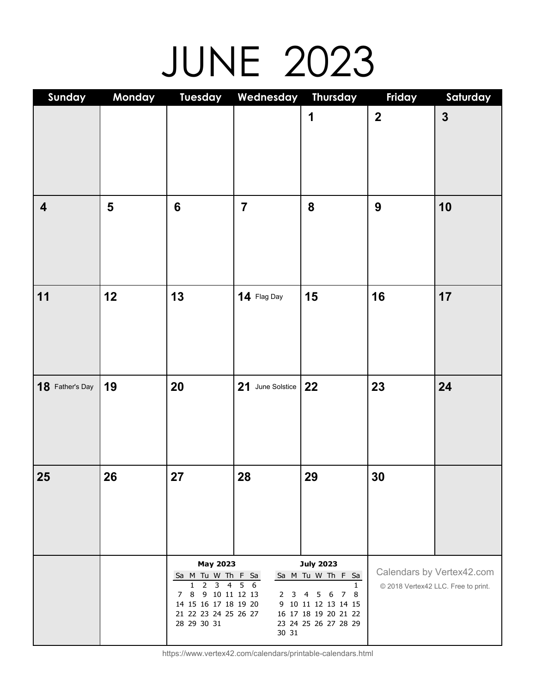# JUNE 2023

| Sunday                  | Monday | <b>Tuesday</b>                                                                                                                                                   | Wednesday                                     | Thursday                                                                                                                                                          | Friday                              | Saturday                  |
|-------------------------|--------|------------------------------------------------------------------------------------------------------------------------------------------------------------------|-----------------------------------------------|-------------------------------------------------------------------------------------------------------------------------------------------------------------------|-------------------------------------|---------------------------|
|                         |        |                                                                                                                                                                  |                                               | 1                                                                                                                                                                 | $\overline{\mathbf{2}}$             | $\overline{\mathbf{3}}$   |
| $\overline{\mathbf{4}}$ | 5      | $6\phantom{1}$                                                                                                                                                   | $\overline{7}$                                | 8                                                                                                                                                                 | $\boldsymbol{9}$                    | 10                        |
| 11                      | 12     | 13                                                                                                                                                               | 14 Flag Day                                   | 15                                                                                                                                                                | 16                                  | 17                        |
| 18 Father's Day         | 19     | 20                                                                                                                                                               | 21 June Solstice                              | 22                                                                                                                                                                | 23                                  | 24                        |
| 25                      | 26     | 27                                                                                                                                                               | 28                                            | 29                                                                                                                                                                | 30                                  |                           |
|                         |        | <b>May 2023</b><br>Sa M Tu W Th F Sa<br>$\overline{4}$<br>1.<br>2<br>3<br>9 10 11 12 13<br>8<br>7<br>14 15 16 17 18 19 20<br>21 22 23 24 25 26 27<br>28 29 30 31 | $\overline{5}$<br>- 6<br>2<br>3<br>9<br>30 31 | <b>July 2023</b><br>Sa M Tu W Th F Sa<br>$\mathbf{1}$<br>$5\quad 6$<br>7 8<br>$\overline{4}$<br>10 11 12 13 14 15<br>16 17 18 19 20 21 22<br>23 24 25 26 27 28 29 | © 2018 Vertex42 LLC. Free to print. | Calendars by Vertex42.com |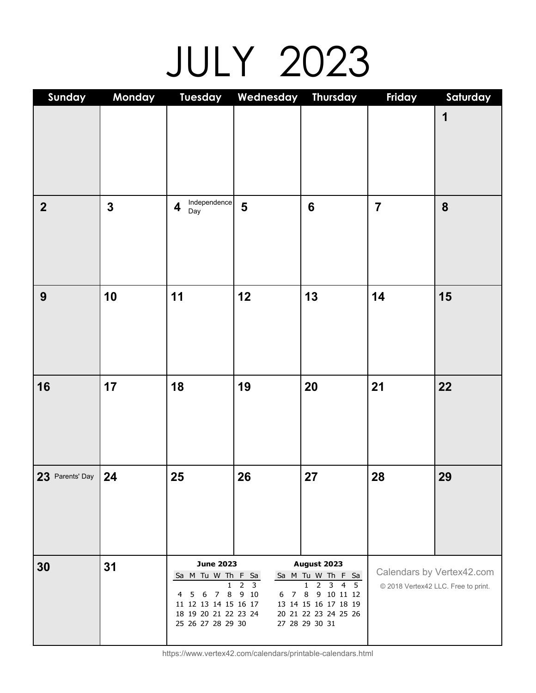# JULY 2023

| Sunday           | Monday       | <b>Tuesday</b>                                                                                                                  | Wednesday                                 | <b>Thursday</b>                                                                                                                                                                 | Friday         | Saturday                                                         |
|------------------|--------------|---------------------------------------------------------------------------------------------------------------------------------|-------------------------------------------|---------------------------------------------------------------------------------------------------------------------------------------------------------------------------------|----------------|------------------------------------------------------------------|
|                  |              |                                                                                                                                 |                                           |                                                                                                                                                                                 |                | 1                                                                |
| $\boldsymbol{2}$ | $\mathbf{3}$ | Independence<br>$\overline{\mathbf{4}}$<br>Day                                                                                  | 5                                         | $6\phantom{1}6$                                                                                                                                                                 | $\overline{7}$ | 8                                                                |
| 9                | 10           | 11                                                                                                                              | 12                                        | 13                                                                                                                                                                              | 14             | 15                                                               |
| 16               | 17           | 18                                                                                                                              | 19                                        | 20                                                                                                                                                                              | 21             | 22                                                               |
| 23 Parents' Day  | 24           | 25                                                                                                                              | 26                                        | 27                                                                                                                                                                              | 28             | 29                                                               |
| 30               | 31           | <b>June 2023</b><br>Sa M Tu W Th F Sa<br>1.<br>6<br>4<br>5<br>11 12 13 14 15 16 17<br>18 19 20 21 22 23 24<br>25 26 27 28 29 30 | 3<br>2<br>7 8 9 10<br>$\overline{7}$<br>6 | August 2023<br>Sa M Tu W Th F Sa<br>$5\overline{5}$<br>2<br>$3 \quad 4$<br>1<br>$8\phantom{.0}$<br>9 10 11 12<br>13 14 15 16 17 18 19<br>20 21 22 23 24 25 26<br>27 28 29 30 31 |                | Calendars by Vertex42.com<br>© 2018 Vertex42 LLC. Free to print. |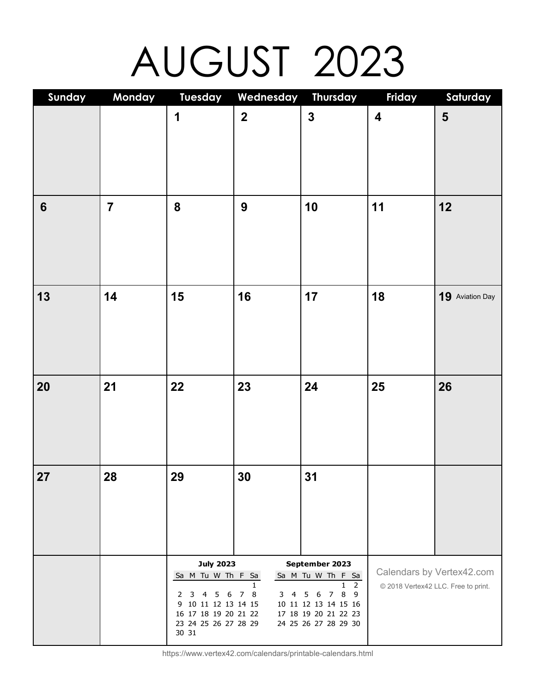# AUGUST 2023

| Sunday         | Monday         | <b>Tuesday</b>                                                                                                                                    | Wednesday                   | Thursday                                                                                                                                                               | Friday                  | Saturday                                                         |
|----------------|----------------|---------------------------------------------------------------------------------------------------------------------------------------------------|-----------------------------|------------------------------------------------------------------------------------------------------------------------------------------------------------------------|-------------------------|------------------------------------------------------------------|
|                |                | 1                                                                                                                                                 | $\mathbf{2}$                | $\mathbf{3}$                                                                                                                                                           | $\overline{\mathbf{4}}$ | $\overline{\mathbf{5}}$                                          |
| $6\phantom{1}$ | $\overline{7}$ | 8                                                                                                                                                 | $\boldsymbol{9}$            | 10                                                                                                                                                                     | 11                      | 12                                                               |
| 13             | 14             | 15                                                                                                                                                | 16                          | 17                                                                                                                                                                     | 18                      | 19 Aviation Day                                                  |
| 20             | 21             | 22                                                                                                                                                | 23                          | 24                                                                                                                                                                     | 25                      | 26                                                               |
| 27             | 28             | 29                                                                                                                                                | 30                          | 31                                                                                                                                                                     |                         |                                                                  |
|                |                | <b>July 2023</b><br>Sa M Tu W Th F Sa<br>6<br>2<br>3<br>4<br>5<br>10 11 12 13 14 15<br>9<br>16 17 18 19 20 21 22<br>23 24 25 26 27 28 29<br>30 31 | 1<br>8<br>3<br>7<br>4<br>10 | September 2023<br>Sa M Tu W Th F Sa<br>$\overline{2}$<br>1.<br>8<br>$\overline{7}$<br>9<br>6<br>5<br>11 12 13 14 15 16<br>17 18 19 20 21 22 23<br>24 25 26 27 28 29 30 |                         | Calendars by Vertex42.com<br>© 2018 Vertex42 LLC. Free to print. |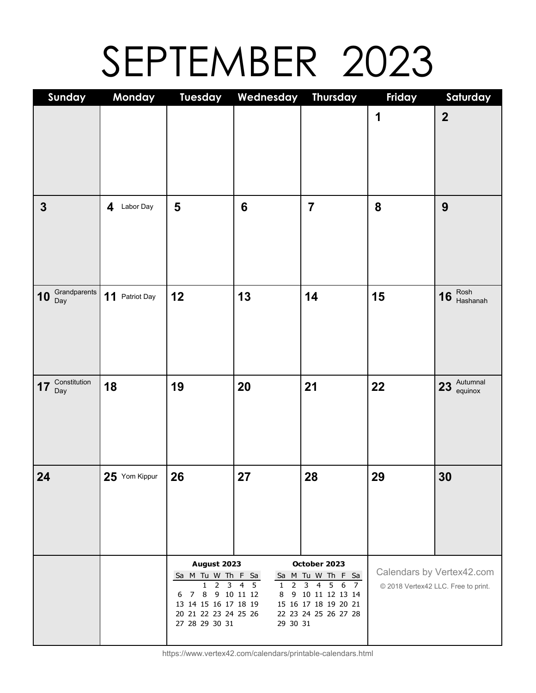## SEPTEMBER 2023

| Sunday                    | Monday         | <b>Tuesday</b>                                                                                                                    | Wednesday                                                               | Thursday                                                                                                                                             | Friday | Saturday                                                         |
|---------------------------|----------------|-----------------------------------------------------------------------------------------------------------------------------------|-------------------------------------------------------------------------|------------------------------------------------------------------------------------------------------------------------------------------------------|--------|------------------------------------------------------------------|
|                           |                |                                                                                                                                   |                                                                         |                                                                                                                                                      | 1      | $\overline{2}$                                                   |
| $\mathbf{3}$              | 4 Labor Day    | 5                                                                                                                                 | $6\phantom{1}$                                                          | $\overline{7}$                                                                                                                                       | 8      | 9                                                                |
| Grandparents<br>10<br>Day | 11 Patriot Day | 12                                                                                                                                | 13                                                                      | 14                                                                                                                                                   | 15     | Rosh<br>Hashanah<br>16                                           |
| Constitution<br>17<br>Day | 18             | 19                                                                                                                                | 20                                                                      | 21                                                                                                                                                   | 22     | $23$ $\frac{\text{Autumnal}}{\text{equinox}}$                    |
| 24                        | 25 Yom Kippur  | 26                                                                                                                                | 27                                                                      | 28                                                                                                                                                   | 29     | 30                                                               |
|                           |                | August 2023<br>Sa M Tu W Th F Sa<br>3<br>2<br>1.<br>8<br>7<br>6<br>13 14 15 16 17 18 19<br>20 21 22 23 24 25 26<br>27 28 29 30 31 | 5<br>$\overline{4}$<br>2<br>$\mathbf{1}$<br>9 10 11 12<br>8<br>29 30 31 | October 2023<br>Sa M Tu W Th F Sa<br>3<br>$\overline{4}$<br>56<br>$\overline{7}$<br>9 10 11 12 13 14<br>15 16 17 18 19 20 21<br>22 23 24 25 26 27 28 |        | Calendars by Vertex42.com<br>© 2018 Vertex42 LLC. Free to print. |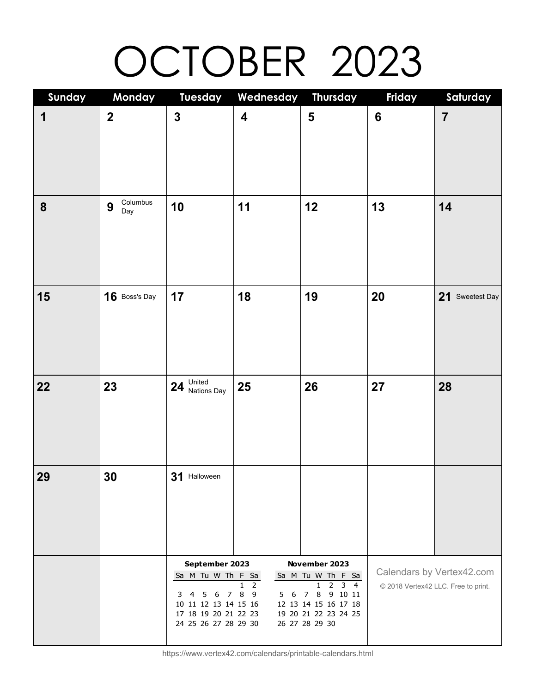# OCTOBER 2023

| Sunday           | Monday               | <b>Tuesday</b>                               | Wednesday Thursday                       |                                                       | Friday         | Saturday                            |
|------------------|----------------------|----------------------------------------------|------------------------------------------|-------------------------------------------------------|----------------|-------------------------------------|
| 1                | $\mathbf 2$          | $\mathbf{3}$                                 | $\overline{\mathbf{4}}$                  | 5                                                     | $6\phantom{1}$ | $\overline{7}$                      |
|                  |                      |                                              |                                          |                                                       |                |                                     |
|                  |                      |                                              |                                          |                                                       |                |                                     |
|                  |                      |                                              |                                          |                                                       |                |                                     |
|                  |                      |                                              |                                          |                                                       |                |                                     |
| $\boldsymbol{8}$ | Columbus<br>9<br>Day | 10                                           | 11                                       | 12                                                    | 13             | 14                                  |
|                  |                      |                                              |                                          |                                                       |                |                                     |
|                  |                      |                                              |                                          |                                                       |                |                                     |
|                  |                      |                                              |                                          |                                                       |                |                                     |
| 15               | 16 Boss's Day        | 17                                           | 18                                       | 19                                                    | 20             | 21 Sweetest Day                     |
|                  |                      |                                              |                                          |                                                       |                |                                     |
|                  |                      |                                              |                                          |                                                       |                |                                     |
|                  |                      |                                              |                                          |                                                       |                |                                     |
|                  |                      |                                              |                                          |                                                       |                |                                     |
| 22               | 23                   | United<br>Nations Day<br>24                  | 25                                       | 26                                                    | 27             | 28                                  |
|                  |                      |                                              |                                          |                                                       |                |                                     |
|                  |                      |                                              |                                          |                                                       |                |                                     |
|                  |                      |                                              |                                          |                                                       |                |                                     |
| 29               |                      |                                              |                                          |                                                       |                |                                     |
|                  | 30                   | 31 Halloween                                 |                                          |                                                       |                |                                     |
|                  |                      |                                              |                                          |                                                       |                |                                     |
|                  |                      |                                              |                                          |                                                       |                |                                     |
|                  |                      |                                              |                                          |                                                       |                |                                     |
|                  |                      | September 2023                               |                                          | November 2023                                         |                |                                     |
|                  |                      | Sa M_Tu W_Th F_Sa                            |                                          | Sa M Tu W Th F Sa                                     |                | Calendars by Vertex42.com           |
|                  |                      | - 6<br>$\overline{7}$<br>3<br>4<br>5         | 2<br>1.<br>8<br>$\overline{9}$<br>6<br>5 | $\overline{2}$<br>$3\overline{4}$<br>1<br>7 8 9 10 11 |                | © 2018 Vertex42 LLC. Free to print. |
|                  |                      | 11 12 13 14 15 16<br>10                      |                                          | 12 13 14 15 16 17 18                                  |                |                                     |
|                  |                      | 17 18 19 20 21 22 23<br>24 25 26 27 28 29 30 |                                          | 19 20 21 22 23 24 25<br>26 27 28 29 30                |                |                                     |
|                  |                      |                                              |                                          |                                                       |                |                                     |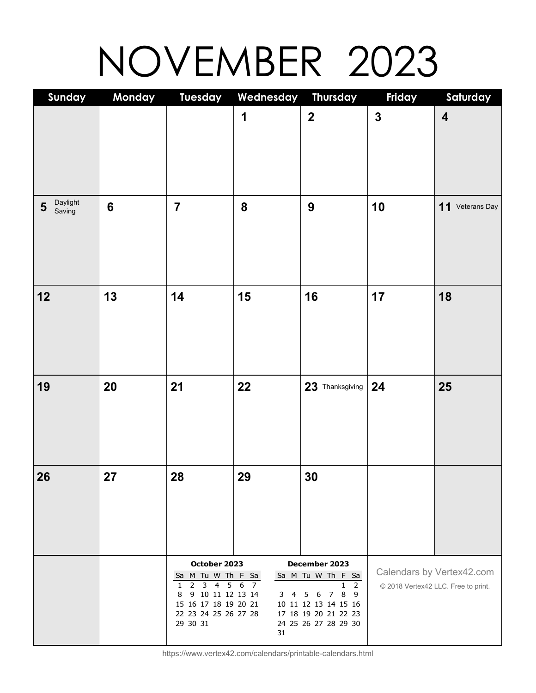## NOVEMBER 2023

| Sunday                  | Monday         | <b>Tuesday</b>                                              | Wednesday Thursday |                                                        | Friday       | Saturday                            |
|-------------------------|----------------|-------------------------------------------------------------|--------------------|--------------------------------------------------------|--------------|-------------------------------------|
|                         |                |                                                             | $\mathbf 1$        | $\mathbf{2}$                                           | $\mathbf{3}$ | $\overline{\mathbf{4}}$             |
|                         |                |                                                             |                    |                                                        |              |                                     |
| Daylight<br>5<br>Saving | $6\phantom{1}$ | $\overline{7}$                                              | 8                  | 9                                                      | 10           | 11 Veterans Day                     |
|                         |                |                                                             |                    |                                                        |              |                                     |
| 12                      | 13             | 14                                                          | 15                 | 16                                                     | 17           | 18                                  |
|                         |                |                                                             |                    |                                                        |              |                                     |
| 19                      | 20             | 21                                                          | 22                 | 23 Thanksgiving                                        | 24           | 25                                  |
|                         |                |                                                             |                    |                                                        |              |                                     |
| 26                      | 27             | 28                                                          | 29                 | 30                                                     |              |                                     |
|                         |                |                                                             |                    |                                                        |              |                                     |
|                         |                | October 2023                                                |                    | December 2023                                          |              |                                     |
|                         |                | Sa M Tu W Th F Sa                                           |                    | Sa M Tu W Th F Sa                                      |              | Calendars by Vertex42.com           |
|                         |                | $\overline{4}$<br>5<br>2<br>3<br>1<br>9 10 11 12 13 14<br>8 | 6<br>7<br>3<br>4   | $\overline{2}$<br>1<br>8 9<br>6<br>$\overline{7}$<br>5 |              | © 2018 Vertex42 LLC. Free to print. |
|                         |                | 15 16 17 18 19 20 21<br>22 23 24 25 26 27 28                |                    | 10 11 12 13 14 15 16<br>17 18 19 20 21 22 23           |              |                                     |
|                         |                | 29 30 31                                                    | 31                 | 24 25 26 27 28 29 30                                   |              |                                     |